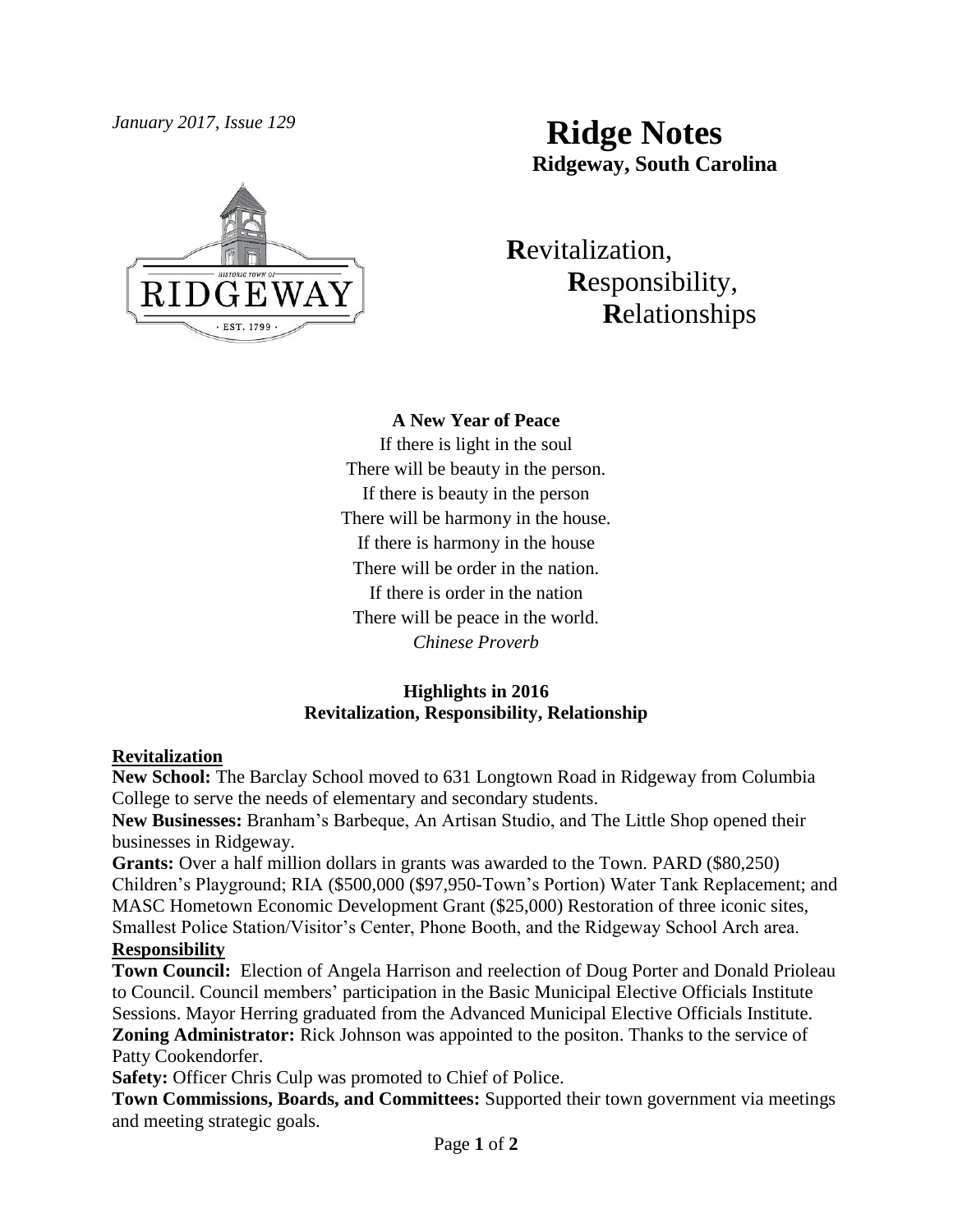

# *January 2017, Issue 129* **Ridge Notes Ridgeway, South Carolina**

 **R**evitalization,  **R**esponsibility,  **R**elationships

**A New Year of Peace** If there is light in the soul There will be beauty in the person. If there is beauty in the person There will be harmony in the house. If there is harmony in the house There will be order in the nation. If there is order in the nation There will be peace in the world. *Chinese Proverb*

## **Highlights in 2016 Revitalization, Responsibility, Relationship**

#### **Revitalization**

**New School:** The Barclay School moved to 631 Longtown Road in Ridgeway from Columbia College to serve the needs of elementary and secondary students.

**New Businesses:** Branham's Barbeque, An Artisan Studio, and The Little Shop opened their businesses in Ridgeway.

**Grants:** Over a half million dollars in grants was awarded to the Town. PARD (\$80,250) Children's Playground; RIA (\$500,000 (\$97,950-Town's Portion) Water Tank Replacement; and MASC Hometown Economic Development Grant (\$25,000) Restoration of three iconic sites, Smallest Police Station/Visitor's Center, Phone Booth, and the Ridgeway School Arch area. **Responsibility**

**Town Council:** Election of Angela Harrison and reelection of Doug Porter and Donald Prioleau to Council. Council members' participation in the Basic Municipal Elective Officials Institute Sessions. Mayor Herring graduated from the Advanced Municipal Elective Officials Institute. **Zoning Administrator:** Rick Johnson was appointed to the positon. Thanks to the service of Patty Cookendorfer.

**Safety:** Officer Chris Culp was promoted to Chief of Police.

**Town Commissions, Boards, and Committees:** Supported their town government via meetings and meeting strategic goals.